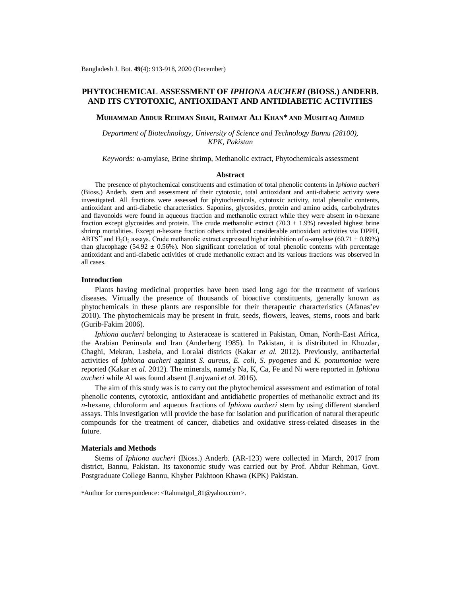# **PHYTOCHEMICAL ASSESSMENT OF** *IPHIONA AUCHERI* **(BIOSS.) ANDERB. AND ITS CYTOTOXIC, ANTIOXIDANT AND ANTIDIABETIC ACTIVITIES**

**MUHAMMAD ABDUR REHMAN SHAH, RAHMAT ALI KHAN\* AND MUSHTAQ AHMED**

*Department of Biotechnology, University of Science and Technology Bannu (28100), KPK, Pakistan*

*Keywords:* α-amylase, Brine shrimp, Methanolic extract, Phytochemicals assessment

## **Abstract**

The presence of phytochemical constituents and estimation of total phenolic contents in *Iphiona aucheri* (Bioss.) Anderb. stem and assessment of their cytotoxic, total antioxidant and anti-diabetic activity were investigated. All fractions were assessed for phytochemicals, cytotoxic activity, total phenolic contents, antioxidant and anti-diabetic characteristics. Saponins, glycosides, protein and amino acids, carbohydrates and flavonoids were found in aqueous fraction and methanolic extract while they were absent in *n*-hexane fraction except glycosides and protein. The crude methanolic extract (70.3  $\pm$  1.9%) revealed highest brine shrimp mortalities. Except *n-*hexane fraction others indicated considerable antioxidant activities via DPPH, ABTS<sup>++</sup> and H<sub>2</sub>O<sub>2</sub> assays. Crude methanolic extract expressed higher inhibition of  $\alpha$ -amylase (60.71  $\pm$  0.89%) than glucophage (54.92  $\pm$  0.56%). Non significant correlation of total phenolic contents with percentage antioxidant and anti-diabetic activities of crude methanolic extract and its various fractions was observed in all cases.

#### **Introduction**

Plants having medicinal properties have been used long ago for the treatment of various diseases. Virtually the presence of thousands of bioactive constituents, generally known as phytochemicals in these plants are responsible for their therapeutic characteristics (Afanas'ev 2010). The phytochemicals may be present in fruit, seeds, flowers, leaves, stems, roots and bark (Gurib-Fakim 2006).

*Iphiona aucheri* belonging to Asteraceae is scattered in Pakistan, Oman, North-East Africa, the Arabian Peninsula and Iran (Anderberg 1985). In Pakistan, it is distributed in Khuzdar, Chaghi, Mekran, Lasbela, and Loralai districts (Kakar *et al.* 2012). Previously, antibacterial activities of *Iphiona aucheri* against *S. aureus, E. coli, S*. *pyogenes* and *K. ponumoniae* were reported (Kakar *et al.* 2012). The minerals, namely Na, K, Ca, Fe and Ni were reported in *Iphiona aucheri* while Al was found absent (Lanjwani *et al.* 2016).

The aim of this study was is to carry out the phytochemical assessment and estimation of total phenolic contents, cytotoxic, antioxidant and antidiabetic properties of methanolic extract and its *n*-hexane, chloroform and aqueous fractions of *Iphiona aucheri* stem by using different standard assays. This investigation will provide the base for isolation and purification of natural therapeutic compounds for the treatment of cancer, diabetics and oxidative stress-related diseases in the future.

#### **Materials and Methods**

Stems of *Iphiona aucheri* (Bioss.) Anderb. (AR-123) were collected in March, 2017 from district, Bannu, Pakistan. Its taxonomic study was carried out by Prof. Abdur Rehman, Govt. Postgraduate College Bannu, Khyber Pakhtoon Khawa (KPK) Pakistan.

<sup>\*</sup>Author for correspondence: <[Rahmatgul\\_81@yahoo.com>](mailto:Rahmatgul_81@yahoo.com).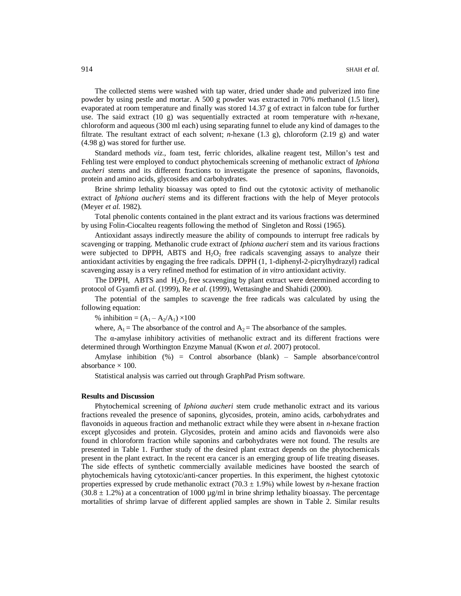The collected stems were washed with tap water, dried under shade and pulverized into fine powder by using pestle and mortar. A 500 g powder was extracted in 70% methanol (1.5 liter), evaporated at room temperature and finally was stored 14.37 g of extract in falcon tube for further use. The said extract (10 g) was sequentially extracted at room temperature with *n*-hexane, chloroform and aqueous (300 ml each) using separating funnel to elude any kind of damages to the filtrate. The resultant extract of each solvent; *n*-hexane (1.3 g), chloroform (2.19 g) and water (4.98 g) was stored for further use.

Standard methods *viz.,* foam test, ferric chlorides, alkaline reagent test, Millon's test and Fehling test were employed to conduct phytochemicals screening of methanolic extract of *Iphiona aucheri* stems and its different fractions to investigate the presence of saponins, flavonoids, protein and amino acids, glycosides and carbohydrates.

Brine shrimp lethality bioassay was opted to find out the cytotoxic activity of methanolic extract of *Iphiona aucheri* stems and its different fractions with the help of Meyer protocols (Meyer *et al.* 1982).

Total phenolic contents contained in the plant extract and its various fractions was determined by using Folin-Ciocalteu reagents following the method of Singleton and Rossi (1965).

Antioxidant assays indirectly measure the ability of compounds to interrupt free radicals by scavenging or trapping. Methanolic crude extract of *Iphiona aucheri* stem and its various fractions were subjected to DPPH, ABTS and  $H_2O_2$  free radicals scavenging assays to analyze their antioxidant activities by engaging the free radicals. DPPH (1, 1-diphenyl-2-picrylhydrazyl) radical scavenging assay is a very refined method for estimation of *in vitro* antioxidant activity.

The DPPH, ABTS and  $H_2O_2$  free scavenging by plant extract were determined according to protocol of Gyamfi *et al.* (1999), Re *et al.* (1999), Wettasinghe and Shahidi (2000).

The potential of the samples to scavenge the free radicals was calculated by using the following equation:

% inhibition =  $(A_1 - A_2/A_1) \times 100$ 

where,  $A_1$  = The absorbance of the control and  $A_2$  = The absorbance of the samples.

The  $\alpha$ -amylase inhibitory activities of methanolic extract and its different fractions were determined through Worthington Enzyme Manual (Kwon *et al.* 2007) protocol.

Amylase inhibition  $(\%)$  = Control absorbance (blank) – Sample absorbance/control absorbance  $\times$  100.

Statistical analysis was carried out through GraphPad Prism software.

## **Results and Discussion**

Phytochemical screening of *Iphiona aucheri* stem crude methanolic extract and its various fractions revealed the presence of saponins, glycosides, protein, amino acids, carbohydrates and flavonoids in aqueous fraction and methanolic extract while they were absent in *n*-hexane fraction except glycosides and protein. Glycosides, protein and amino acids and flavonoids were also found in chloroform fraction while saponins and carbohydrates were not found. The results are presented in Table 1. Further study of the desired plant extract depends on the phytochemicals present in the plant extract. In the recent era cancer is an emerging group of life treating diseases. The side effects of synthetic commercially available medicines have boosted the search of phytochemicals having cytotoxic/anti-cancer properties. In this experiment, the highest cytotoxic properties expressed by crude methanolic extract  $(70.3 \pm 1.9%)$  while lowest by *n*-hexane fraction  $(30.8 \pm 1.2\%)$  at a concentration of 1000 µg/ml in brine shrimp lethality bioassay. The percentage mortalities of shrimp larvae of different applied samples are shown in Table 2. Similar results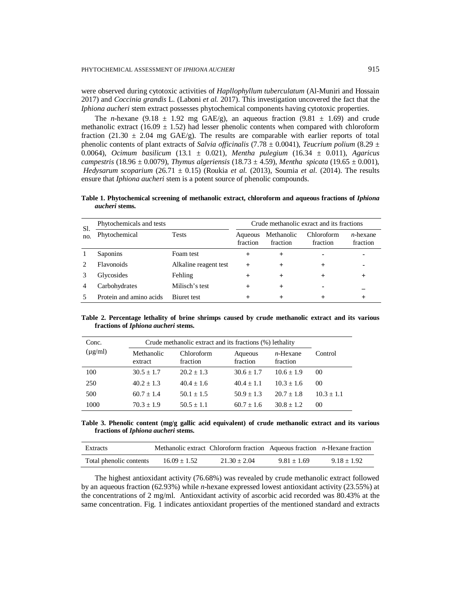were observed during cytotoxic activities of *Hapllophyllum tuberculatum* (Al-Muniri and Hossain 2017) and *Coccinia grandis* L. (Laboni *et al.* 2017). This investigation uncovered the fact that the *Iphiona aucheri* stem extract possesses phytochemical components having cytotoxic properties.

The *n*-hexane (9.18  $\pm$  1.92 mg GAE/g), an aqueous fraction (9.81  $\pm$  1.69) and crude methanolic extract (16.09  $\pm$  1.52) had lesser phenolic contents when compared with chloroform fraction (21.30  $\pm$  2.04 mg GAE/g). The results are comparable with earlier reports of total phenolic contents of plant extracts of *Salvia officinalis* (7.78  $\pm$  0.0041), *Teucrium polium* (8.29  $\pm$ 0.0064), *Ocimum basilicum* (13.1 ± 0.021), *Mentha pulegium* (16.34 ± 0.011), *Agaricus campestris* (18.96 ± 0.0079), *Thymus algeriensis* (18.73 ± 4.59), *Mentha spicata* (19.65 ± 0.001), *Hedysarum scoparium* (26.71 ± 0.15) (Roukia *et al.* (2013), Soumia *et al.* (2014). The results ensure that *Iphiona aucheri* stem is a potent source of phenolic compounds.

**Table 1. Phytochemical screening of methanolic extract, chloroform and aqueous fractions of** *Iphiona aucheri* **stems.**

| Sl.<br>no. | Phytochemicals and tests |                       | Crude methanolic exract and its fractions |                        |                        |                         |
|------------|--------------------------|-----------------------|-------------------------------------------|------------------------|------------------------|-------------------------|
|            | Phytochemical            | <b>Tests</b>          | Aqueous<br>fraction                       | Methanolic<br>fraction | Chloroform<br>fraction | $n$ -hexane<br>fraction |
|            | <b>Saponins</b>          | Foam test             |                                           | $\div$                 |                        |                         |
|            | <b>Flavonoids</b>        | Alkaline reagent test |                                           | $\,^+$                 | $\pm$                  |                         |
|            | Glycosides               | Fehling               |                                           | $\pm$                  | +                      | $^+$                    |
| 4          | Carbohydrates            | Milisch's test        |                                           | $\,^+$                 |                        |                         |
|            | Protein and amino acids  | Biuret test           |                                           |                        |                        |                         |

**Table 2. Percentage lethality of brine shrimps caused by crude methanolic extract and its various fractions of** *Iphiona aucheri* **stems.**

| Conc.        | Crude methanolic extract and its fractions (%) lethality |                        |                     |                         |                 |
|--------------|----------------------------------------------------------|------------------------|---------------------|-------------------------|-----------------|
| $(\mu g/ml)$ | Methanolic<br>extract                                    | Chloroform<br>fraction | Aqueous<br>fraction | $n$ -Hexane<br>fraction | Control         |
| 100          | $30.5 + 1.7$                                             | $20.2 + 1.3$           | $30.6 + 1.7$        | $10.6 + 1.9$            | 00 <sup>2</sup> |
| 250          | $40.2 + 1.3$                                             | $40.4 + 1.6$           | $40.4 + 1.1$        | $10.3 + 1.6$            | 00 <sup>2</sup> |
| 500          | $60.7 + 1.4$                                             | $50.1 + 1.5$           | $50.9 + 1.3$        | $20.7 + 1.8$            | $10.3 \pm 1.1$  |
| 1000         | $70.3 + 1.9$                                             | $50.5 \pm 1.1$         | $60.7 + 1.6$        | $30.8 + 1.2$            | $^{00}$         |

**Table 3. Phenolic content (mg/g gallic acid equivalent) of crude methanolic extract and its various fractions of** *Iphiona aucheri* **stems.** 

| <b>Extracts</b>         |                | Methanolic extract Chloroform fraction Aqueous fraction $n$ -Hexane fraction |               |               |
|-------------------------|----------------|------------------------------------------------------------------------------|---------------|---------------|
| Total phenolic contents | $16.09 + 1.52$ | $21.30 + 2.04$                                                               | $9.81 + 1.69$ | $9.18 + 1.92$ |

The highest antioxidant activity (76.68%) was revealed by crude methanolic extract followed by an aqueous fraction (62.93%) while *n*-hexane expressed lowest antioxidant activity (23.55%) at the concentrations of 2 mg/ml. Antioxidant activity of ascorbic acid recorded was 80.43% at the same concentration. Fig. 1 indicates antioxidant properties of the mentioned standard and extracts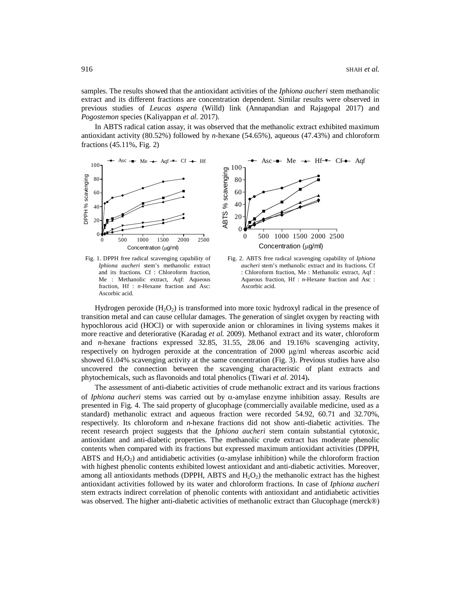samples. The results showed that the antioxidant activities of the *Iphiona aucheri* stem methanolic extract and its different fractions are concentration dependent. Similar results were observed in previous studies of *Leucas aspera* (Willd) link (Annapandian and Rajagopal 2017) and *Pogostemon* species (Kaliyappan *et al.* 2017).

In ABTS radical cation assay, it was observed that the methanolic extract exhibited maximum antioxidant activity (80.52%) followed by *n*-hexane (54.65%), aqueous (47.43%) and chloroform fractions (45.11%, Fig. 2)



*Iphiona aucheri* stem's methanolic extract and its fractions. Cf : Chloroform fraction, Me : Methanolic extract, Aqf: Aqueous fraction, Hf : *n*-Hexane fraction and Asc: Ascorbic acid.



Hydrogen peroxide  $(H_2O_2)$  is transformed into more toxic hydroxyl radical in the presence of transition metal and can cause cellular damages. The generation of singlet oxygen by reacting with hypochlorous acid (HOCl) or with superoxide anion or chloramines in living systems makes it more reactive and deteriorative (Karadag *et al.* 2009). Methanol extract and its water, chloroform and *n*-hexane fractions expressed 32.85, 31.55, 28.06 and 19.16% scavenging activity, respectively on hydrogen peroxide at the concentration of 2000 μg/ml whereas ascorbic acid showed 61.04% scavenging activity at the same concentration (Fig. 3). Previous studies have also uncovered the connection between the scavenging characteristic of plant extracts and phytochemicals, such as flavonoids and total phenolics (Tiwari *et al*. 2014)**.**

The assessment of anti-diabetic activities of crude methanolic extract and its various fractions of *Iphiona aucheri* stems was carried out by  $\alpha$ -amylase enzyme inhibition assay. Results are presented in Fig. 4. The said property of glucophage (commercially available medicine, used as a standard) methanolic extract and aqueous fraction were recorded 54.92, 60.71 and 32.70%, respectively. Its chloroform and *n*-hexane fractions did not show anti-diabetic activities. The recent research project suggests that the *Iphiona aucheri* stem contain substantial cytotoxic, antioxidant and anti-diabetic properties. The methanolic crude extract has moderate phenolic contents when compared with its fractions but expressed maximum antioxidant activities (DPPH, ABTS and  $H_2O_2$ ) and antidiabetic activities ( $\alpha$ -amylase inhibition) while the chloroform fraction with highest phenolic contents exhibited lowest antioxidant and anti-diabetic activities. Moreover, among all antioxidants methods (DPPH, ABTS and  $H_2O_2$ ) the methanolic extract has the highest antioxidant activities followed by its water and chloroform fractions. In case of *Iphiona aucheri*  stem extracts indirect correlation of phenolic contents with antioxidant and antidiabetic activities was observed. The higher anti-diabetic activities of methanolic extract than Glucophage (merck®)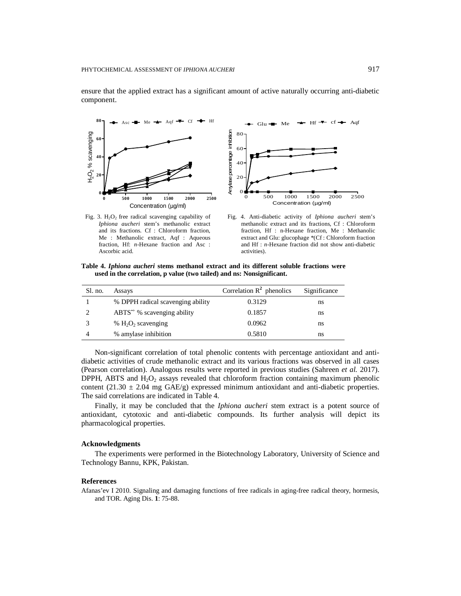component.

 $80$ <sup>-</sup> Asc  $\rightarrow$  Me  $\rightarrow$  Aqf  $\rightarrow$  Cf  $\rightarrow$  Hf Glu  $\rightarrow$  Me  $\rightarrow$  Hf  $\rightarrow$  cf  $\rightarrow$  Aqf Anylase percentage inhibition Amylase percentage inhibition H<sub>2</sub>O<sub>2</sub>% scavenging  $H_2O_2$ % scavenging 80 **60** 60 **40** 40 **20**  $20$  $\mathbf{o}$ **0**  $\overline{0}$  500 1000 1500 2000 2500 **0 500 1000 1500 2000 2500** Concentration (µg/ml) Concentration (µg/ml)

ensure that the applied extract has a significant amount of active naturally occurring anti-diabetic

Fig. 3.  $H_2O_2$  free radical scavenging capability of *Iphiona aucheri* stem's methanolic extract and its fractions. Cf : Chloroform fraction, Me : Methanolic extract, Aqf : Aqueous fraction, Hf: *n*-Hexane fraction and Asc : Ascorbic acid.



**Table 4.** *Iphiona aucheri* **stems methanol extract and its different soluble fractions were used in the correlation, p value (two tailed) and ns: Nonsignificant.**

| Sl. no. | Assays                            | Correlation $R^2$ phenolics | Significance |
|---------|-----------------------------------|-----------------------------|--------------|
|         | % DPPH radical scavenging ability | 0.3129                      | ns           |
|         | $ABTS^*$ % scavenging ability     | 0.1857                      | ns           |
|         | % $H_2O_2$ scavenging             | 0.0962                      | ns           |
|         | % amylase inhibition              | 0.5810                      | ns           |

Non-significant correlation of total phenolic contents with percentage antioxidant and antidiabetic activities of crude methanolic extract and its various fractions was observed in all cases (Pearson correlation). Analogous results were reported in previous studies (Sahreen *et al.* 2017). DPPH, ABTS and  $H_2O_2$  assays revealed that chloroform fraction containing maximum phenolic content (21.30  $\pm$  2.04 mg GAE/g) expressed minimum antioxidant and anti-diabetic properties. The said correlations are indicated in Table 4.

Finally, it may be concluded that the *Iphiona aucheri* stem extract is a potent source of antioxidant, cytotoxic and anti-diabetic compounds. Its further analysis will depict its pharmacological properties.

### **Acknowledgments**

The experiments were performed in the Biotechnology Laboratory, University of Science and Technology Bannu, KPK, Pakistan.

## **References**

Afanas'ev I 2010. Signaling and damaging functions of free radicals in aging-free radical theory, hormesis, and TOR. Aging Dis. **1**: 75-88.